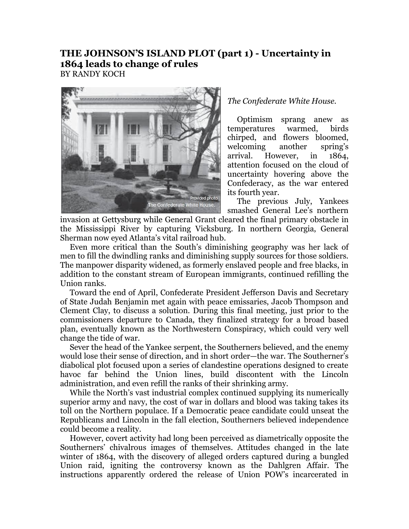## **THE JOHNSON'S ISLAND PLOT (part 1) - Uncertainty in 1864 leads to change of rules** BY RANDY KOCH



## *The Confederate White House.*

Optimism sprang anew as temperatures warmed, birds chirped, and flowers bloomed, welcoming another spring's arrival. However, in 1864, attention focused on the cloud of uncertainty hovering above the Confederacy, as the war entered its fourth year.

The previous July, Yankees smashed General Lee's northern

invasion at Gettysburg while General Grant cleared the final primary obstacle in the Mississippi River by capturing Vicksburg. In northern Georgia, General Sherman now eyed Atlanta's vital railroad hub.

Even more critical than the South's diminishing geography was her lack of men to fill the dwindling ranks and diminishing supply sources for those soldiers. The manpower disparity widened, as formerly enslaved people and free blacks, in addition to the constant stream of European immigrants, continued refilling the Union ranks.

Toward the end of April, Confederate President Jefferson Davis and Secretary of State Judah Benjamin met again with peace emissaries, Jacob Thompson and Clement Clay, to discuss a solution. During this final meeting, just prior to the commissioners departure to Canada, they finalized strategy for a broad based plan, eventually known as the Northwestern Conspiracy, which could very well change the tide of war.

Sever the head of the Yankee serpent, the Southerners believed, and the enemy would lose their sense of direction, and in short order—the war. The Southerner's diabolical plot focused upon a series of clandestine operations designed to create havoc far behind the Union lines, build discontent with the Lincoln administration, and even refill the ranks of their shrinking army.

While the North's vast industrial complex continued supplying its numerically superior army and navy, the cost of war in dollars and blood was taking takes its toll on the Northern populace. If a Democratic peace candidate could unseat the Republicans and Lincoln in the fall election, Southerners believed independence could become a reality.

However, covert activity had long been perceived as diametrically opposite the Southerners' chivalrous images of themselves. Attitudes changed in the late winter of 1864, with the discovery of alleged orders captured during a bungled Union raid, igniting the controversy known as the Dahlgren Affair. The instructions apparently ordered the release of Union POW's incarcerated in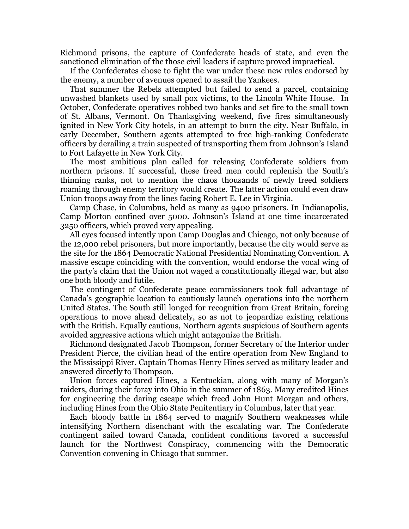Richmond prisons, the capture of Confederate heads of state, and even the sanctioned elimination of the those civil leaders if capture proved impractical.

If the Confederates chose to fight the war under these new rules endorsed by the enemy, a number of avenues opened to assail the Yankees.

That summer the Rebels attempted but failed to send a parcel, containing unwashed blankets used by small pox victims, to the Lincoln White House. In October, Confederate operatives robbed two banks and set fire to the small town of St. Albans, Vermont. On Thanksgiving weekend, five fires simultaneously ignited in New York City hotels, in an attempt to burn the city. Near Buffalo, in early December, Southern agents attempted to free high-ranking Confederate officers by derailing a train suspected of transporting them from Johnson's Island to Fort Lafayette in New York City.

The most ambitious plan called for releasing Confederate soldiers from northern prisons. If successful, these freed men could replenish the South's thinning ranks, not to mention the chaos thousands of newly freed soldiers roaming through enemy territory would create. The latter action could even draw Union troops away from the lines facing Robert E. Lee in Virginia.

Camp Chase, in Columbus, held as many as 9400 prisoners. In Indianapolis, Camp Morton confined over 5000. Johnson's Island at one time incarcerated 3250 officers, which proved very appealing.

All eyes focused intently upon Camp Douglas and Chicago, not only because of the 12,000 rebel prisoners, but more importantly, because the city would serve as the site for the 1864 Democratic National Presidential Nominating Convention. A massive escape coinciding with the convention, would endorse the vocal wing of the party's claim that the Union not waged a constitutionally illegal war, but also one both bloody and futile.

The contingent of Confederate peace commissioners took full advantage of Canada's geographic location to cautiously launch operations into the northern United States. The South still longed for recognition from Great Britain, forcing operations to move ahead delicately, so as not to jeopardize existing relations with the British. Equally cautious, Northern agents suspicious of Southern agents avoided aggressive actions which might antagonize the British.

Richmond designated Jacob Thompson, former Secretary of the Interior under President Pierce, the civilian head of the entire operation from New England to the Mississippi River. Captain Thomas Henry Hines served as military leader and answered directly to Thompson.

Union forces captured Hines, a Kentuckian, along with many of Morgan's raiders, during their foray into Ohio in the summer of 1863. Many credited Hines for engineering the daring escape which freed John Hunt Morgan and others, including Hines from the Ohio State Penitentiary in Columbus, later that year.

Each bloody battle in 1864 served to magnify Southern weaknesses while intensifying Northern disenchant with the escalating war. The Confederate contingent sailed toward Canada, confident conditions favored a successful launch for the Northwest Conspiracy, commencing with the Democratic Convention convening in Chicago that summer.